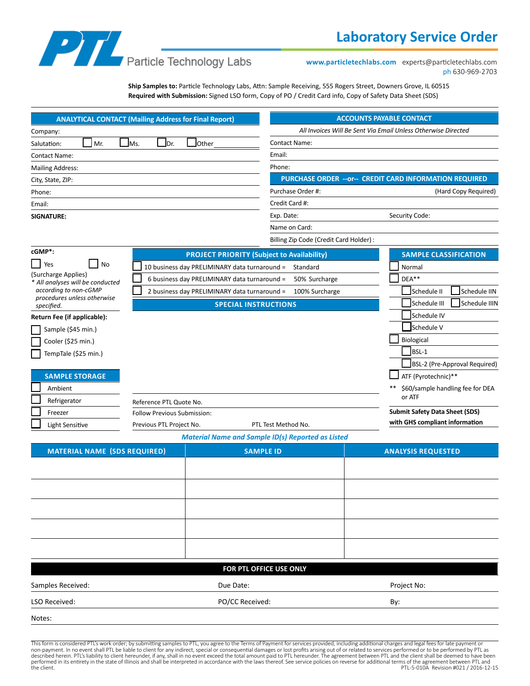# **Laboratory Service Order**



**www.particletechlabs.com** experts@particletechlabs.com ph 630-969-2703

**Ship Samples to:** Particle Technology Labs, Attn: Sample Receiving, 555 Rogers Street, Downers Grove, IL 60515 **Required with Submission:** Signed LSO form, Copy of PO / Credit Card info, Copy of Safety Data Sheet (SDS)

|                                                                                                                               | <b>ANALYTICAL CONTACT (Mailing Address for Final Report)</b> |                                                          | <b>ACCOUNTS PAYABLE CONTACT</b>                                |
|-------------------------------------------------------------------------------------------------------------------------------|--------------------------------------------------------------|----------------------------------------------------------|----------------------------------------------------------------|
| Company:                                                                                                                      |                                                              |                                                          | All Invoices Will Be Sent Via Email Unless Otherwise Directed  |
| Mr.<br>Salutation:                                                                                                            | Other<br>Ms.<br>I <sub>Dr.</sub>                             | <b>Contact Name:</b>                                     |                                                                |
| <b>Contact Name:</b>                                                                                                          |                                                              | Email:                                                   |                                                                |
| <b>Mailing Address:</b>                                                                                                       |                                                              | Phone:                                                   |                                                                |
| City, State, ZIP:                                                                                                             |                                                              |                                                          | <b>PURCHASE ORDER -- or-- CREDIT CARD INFORMATION REQUIRED</b> |
| Phone:                                                                                                                        |                                                              | Purchase Order #:                                        | (Hard Copy Required)                                           |
| Email:                                                                                                                        |                                                              | Credit Card #:                                           |                                                                |
| <b>SIGNATURE:</b>                                                                                                             |                                                              | Exp. Date:                                               | Security Code:                                                 |
|                                                                                                                               |                                                              | Name on Card:                                            |                                                                |
|                                                                                                                               |                                                              | Billing Zip Code (Credit Card Holder):                   |                                                                |
| cGMP*:                                                                                                                        | <b>PROJECT PRIORITY (Subject to Availability)</b>            |                                                          | <b>SAMPLE CLASSIFICATION</b>                                   |
| <b>No</b><br>Yes                                                                                                              | 10 business day PRELIMINARY data turnaround =                | Standard                                                 | Normal                                                         |
| (Surcharge Applies)<br>* All analyses will be conducted<br>accordina to non-cGMP<br>procedures unless otherwise<br>specified. | 6 business day PRELIMINARY data turnaround =                 | 50% Surcharge                                            | $DEA**$                                                        |
|                                                                                                                               | 2 business day PRELIMINARY data turnaround =                 | 100% Surcharge                                           | Schedule II<br>Schedule IIN                                    |
|                                                                                                                               | <b>SPECIAL INSTRUCTIONS</b>                                  |                                                          | Schedule III<br><b>Schedule IIIN</b>                           |
| Return Fee (if applicable):                                                                                                   |                                                              |                                                          | Schedule IV                                                    |
| Sample (\$45 min.)                                                                                                            |                                                              |                                                          | Schedule V                                                     |
| Cooler (\$25 min.)                                                                                                            |                                                              |                                                          | Biological                                                     |
| TempTale (\$25 min.)                                                                                                          |                                                              |                                                          | BSL-1                                                          |
|                                                                                                                               |                                                              |                                                          | BSL-2 (Pre-Approval Required)                                  |
| <b>SAMPLE STORAGE</b>                                                                                                         |                                                              |                                                          | ATF (Pyrotechnic)**                                            |
| Ambient                                                                                                                       |                                                              |                                                          | \$60/sample handling fee for DEA                               |
| Refrigerator                                                                                                                  | Reference PTL Quote No.                                      |                                                          | or ATF                                                         |
| Freezer                                                                                                                       | <b>Follow Previous Submission:</b>                           |                                                          | <b>Submit Safety Data Sheet (SDS)</b>                          |
| Light Sensitive                                                                                                               | Previous PTL Project No.                                     | PTL Test Method No.                                      | with GHS compliant information                                 |
|                                                                                                                               |                                                              | <b>Material Name and Sample ID(s) Reported as Listed</b> |                                                                |

| <b>MATERIAL NAME (SDS REQUIRED)</b> | <b>SAMPLE ID</b>        | <b>ANALYSIS REQUESTED</b> |
|-------------------------------------|-------------------------|---------------------------|
|                                     |                         |                           |
|                                     |                         |                           |
|                                     |                         |                           |
|                                     |                         |                           |
|                                     |                         |                           |
|                                     |                         |                           |
|                                     | FOR PTL OFFICE USE ONLY |                           |
| Samples Received:                   | Due Date:               | Project No:               |
| LSO Received:                       | PO/CC Received:         | By:                       |
|                                     |                         |                           |

Notes:

This form is considered PTL's work order; by submitting samples to PTL, you agree to the Terms of Payment for services provided, including additional charges and legal fees for late payment or<br>non-payment. In no event shal described herein. PTL's liability to client hereunder, if any, shall in no event exceed the total amount paid to PTL hereunder. The agreement between PTL and the client shall be deemed to have been performed in its entirety in the state of Illinois and shall be interpreted in accordance with the laws thereof. See service policies on reverse for additional terms of the agreement between PTL and<br>PTL-5-010A Revision #02